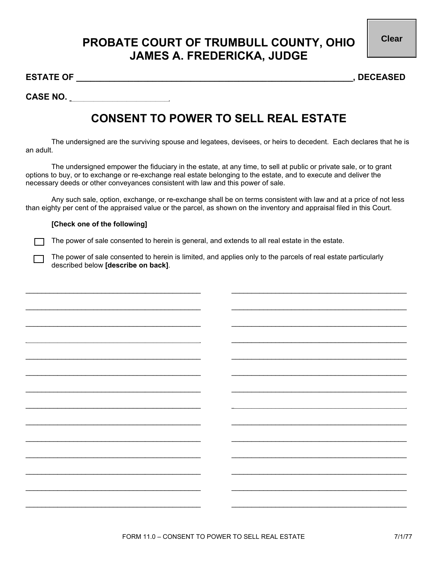**Clear**

## **PROBATE COURT OF TRUMBULL COUNTY, OHIO JAMES A. FREDERICKA, JUDGE**

**ESTATE OF \_\_\_\_\_\_\_\_\_\_\_\_\_\_\_\_\_\_\_\_\_\_\_\_\_\_\_\_\_\_\_\_\_\_\_\_\_\_\_\_\_\_\_\_\_\_\_\_\_\_\_\_\_\_\_\_\_\_, DECEASED** 

**CASE NO. \_\_\_\_\_\_\_\_\_\_\_\_\_\_\_\_\_\_\_\_\_** 

## **CONSENT TO POWER TO SELL REAL ESTATE**

The undersigned are the surviving spouse and legatees, devisees, or heirs to decedent. Each declares that he is an adult.

The undersigned empower the fiduciary in the estate, at any time, to sell at public or private sale, or to grant options to buy, or to exchange or re-exchange real estate belonging to the estate, and to execute and deliver the necessary deeds or other conveyances consistent with law and this power of sale.

Any such sale, option, exchange, or re-exchange shall be on terms consistent with law and at a price of not less than eighty per cent of the appraised value or the parcel, as shown on the inventory and appraisal filed in this Court.

## **[Check one of the following]**

The power of sale consented to herein is general, and extends to all real estate in the estate.

The power of sale consented to herein is limited, and applies only to the parcels of real estate particularly described below **[describe on back]**.

 $\_$  , and the set of the set of the set of the set of the set of the set of the set of the set of the set of the set of the set of the set of the set of the set of the set of the set of the set of the set of the set of th

 $\_$  , and the set of the set of the set of the set of the set of the set of the set of the set of the set of the set of the set of the set of the set of the set of the set of the set of the set of the set of the set of th

 $\_$  , and the state of the state of the state of the state of the state of the state of the state of the state of the state of the state of the state of the state of the state of the state of the state of the state of the

 $\_$  , and the set of the set of the set of the set of the set of the set of the set of the set of the set of the set of the set of the set of the set of the set of the set of the set of the set of the set of the set of th

 $\_$  , and the set of the set of the set of the set of the set of the set of the set of the set of the set of the set of the set of the set of the set of the set of the set of the set of the set of the set of the set of th

 $\_$  , and the state of the state of the state of the state of the state of the state of the state of the state of the state of the state of the state of the state of the state of the state of the state of the state of the

 $\_$  , and the set of the set of the set of the set of the set of the set of the set of the set of the set of the set of the set of the set of the set of the set of the set of the set of the set of the set of the set of th

 $\_$  , and the set of the set of the set of the set of the set of the set of the set of the set of the set of the set of the set of the set of the set of the set of the set of the set of the set of the set of the set of th

 $\_$  , and the state of the state of the state of the state of the state of the state of the state of the state of the state of the state of the state of the state of the state of the state of the state of the state of the

 $\_$  , and the set of the set of the set of the set of the set of the set of the set of the set of the set of the set of the set of the set of the set of the set of the set of the set of the set of the set of the set of th

 $\_$  , and the set of the set of the set of the set of the set of the set of the set of the set of the set of the set of the set of the set of the set of the set of the set of the set of the set of the set of the set of th

 $\_$  , and the state of the state of the state of the state of the state of the state of the state of the state of the state of the state of the state of the state of the state of the state of the state of the state of the

 $\_$  , and the set of the set of the set of the set of the set of the set of the set of the set of the set of the set of the set of the set of the set of the set of the set of the set of the set of the set of the set of th

 $\_$  , and the set of the set of the set of the set of the set of the set of the set of the set of the set of the set of the set of the set of the set of the set of the set of the set of the set of the set of the set of th